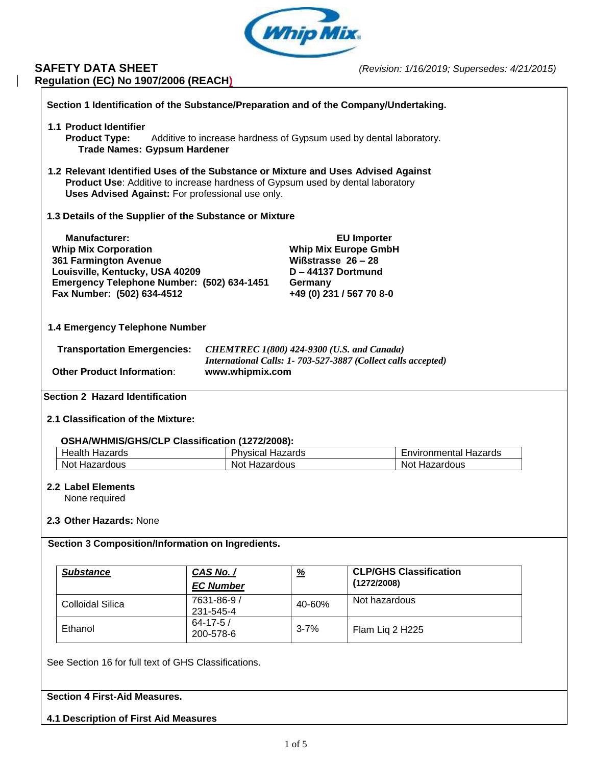

# **SAFETY DATA SHEET** *(Revision: 1/16/2019; Supersedes: 4/21/2015)* **Regulation (EC) No 1907/2006 (REACH)**

| <b>1.1 Product Identifier</b><br><b>Product Type:</b><br><b>Trade Names: Gypsum Hardener</b>                                                                                                                                             |                                            |                                                   | Additive to increase hardness of Gypsum used by dental laboratory.                                                    |  |
|------------------------------------------------------------------------------------------------------------------------------------------------------------------------------------------------------------------------------------------|--------------------------------------------|---------------------------------------------------|-----------------------------------------------------------------------------------------------------------------------|--|
| 1.2 Relevant Identified Uses of the Substance or Mixture and Uses Advised Against<br>Product Use: Additive to increase hardness of Gypsum used by dental laboratory<br>Uses Advised Against: For professional use only.                  |                                            |                                                   |                                                                                                                       |  |
| 1.3 Details of the Supplier of the Substance or Mixture                                                                                                                                                                                  |                                            |                                                   |                                                                                                                       |  |
| <b>Manufacturer:</b><br><b>Whip Mix Corporation</b><br>361 Farmington Avenue<br>Louisville, Kentucky, USA 40209<br>Emergency Telephone Number: (502) 634-1451<br>Fax Number: (502) 634-4512                                              |                                            | Germany                                           | <b>EU Importer</b><br><b>Whip Mix Europe GmbH</b><br>Wißstrasse 26-28<br>D-44137 Dortmund<br>+49 (0) 231 / 567 70 8-0 |  |
| 1.4 Emergency Telephone Number<br><b>Transportation Emergencies:</b>                                                                                                                                                                     |                                            | <b>CHEMTREC</b> 1(800) 424-9300 (U.S. and Canada) |                                                                                                                       |  |
|                                                                                                                                                                                                                                          | www.whipmix.com                            |                                                   | International Calls: 1-703-527-3887 (Collect calls accepted)                                                          |  |
|                                                                                                                                                                                                                                          |                                            |                                                   |                                                                                                                       |  |
| OSHA/WHMIS/GHS/CLP Classification (1272/2008):<br><b>Health Hazards</b>                                                                                                                                                                  |                                            | <b>Physical Hazards</b>                           | <b>Environmental Hazards</b>                                                                                          |  |
| Not Hazardous                                                                                                                                                                                                                            |                                            | Not Hazardous                                     | Not Hazardous                                                                                                         |  |
| <b>Other Product Information:</b><br><b>Section 2 Hazard Identification</b><br>2.1 Classification of the Mixture:<br>2.2 Label Elements<br>None required<br>2.3 Other Hazards: None<br>Section 3 Composition/Information on Ingredients. |                                            |                                                   |                                                                                                                       |  |
| <b>Substance</b>                                                                                                                                                                                                                         | CAS No. /<br><b>EC Number</b>              | $\frac{9}{6}$                                     | <b>CLP/GHS Classification</b><br>(1272/2008)                                                                          |  |
| <b>Colloidal Silica</b>                                                                                                                                                                                                                  | 7631-86-9 /<br>231-545-4<br>$64 - 17 - 5/$ | 40-60%                                            | Not hazardous                                                                                                         |  |

# **Section 4 First-Aid Measures.**

**4.1 Description of First Aid Measures**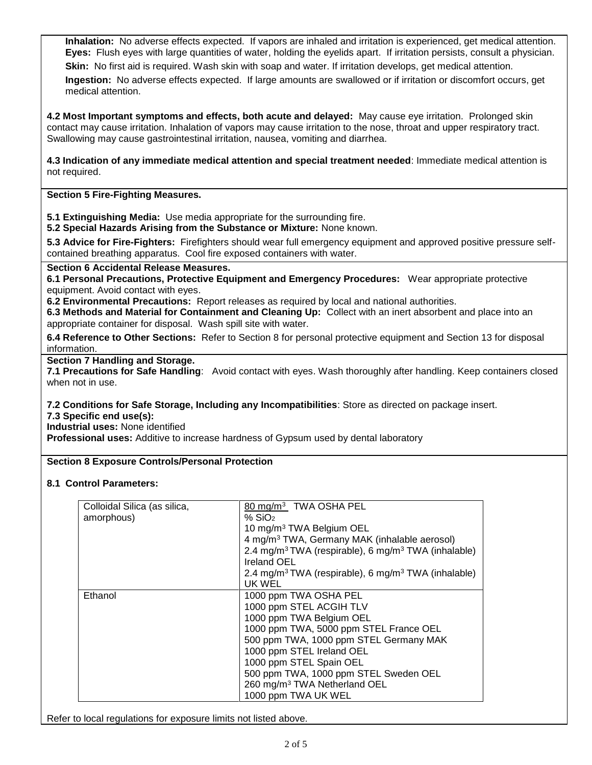**Inhalation:** No adverse effects expected. If vapors are inhaled and irritation is experienced, get medical attention. **Eyes:** Flush eyes with large quantities of water, holding the eyelids apart. If irritation persists, consult a physician. **Skin:** No first aid is required. Wash skin with soap and water. If irritation develops, get medical attention. **Ingestion:** No adverse effects expected. If large amounts are swallowed or if irritation or discomfort occurs, get medical attention.

**4.2 Most Important symptoms and effects, both acute and delayed:** May cause eye irritation. Prolonged skin contact may cause irritation. Inhalation of vapors may cause irritation to the nose, throat and upper respiratory tract. Swallowing may cause gastrointestinal irritation, nausea, vomiting and diarrhea.

**4.3 Indication of any immediate medical attention and special treatment needed**: Immediate medical attention is not required.

**Section 5 Fire-Fighting Measures.**

**5.1 Extinguishing Media:** Use media appropriate for the surrounding fire.

**5.2 Special Hazards Arising from the Substance or Mixture:** None known.

**5.3 Advice for Fire-Fighters:** Firefighters should wear full emergency equipment and approved positive pressure selfcontained breathing apparatus. Cool fire exposed containers with water.

### **Section 6 Accidental Release Measures.**

**6.1 Personal Precautions, Protective Equipment and Emergency Procedures:** Wear appropriate protective equipment. Avoid contact with eyes.

**6.2 Environmental Precautions:** Report releases as required by local and national authorities.

**6.3 Methods and Material for Containment and Cleaning Up:** Collect with an inert absorbent and place into an appropriate container for disposal. Wash spill site with water.

**6.4 Reference to Other Sections:** Refer to Section 8 for personal protective equipment and Section 13 for disposal information.

### **Section 7 Handling and Storage.**

**7.1 Precautions for Safe Handling**: Avoid contact with eyes. Wash thoroughly after handling. Keep containers closed when not in use.

**7.2 Conditions for Safe Storage, Including any Incompatibilities**: Store as directed on package insert.

**7.3 Specific end use(s):** 

**Industrial uses:** None identified

**Professional uses:** Additive to increase hardness of Gypsum used by dental laboratory

### **Section 8 Exposure Controls/Personal Protection**

# **8.1 Control Parameters:**

| Colloidal Silica (as silica,<br>amorphous) | 80 mg/m <sup>3</sup> TWA OSHA PEL<br>% SiO <sub>2</sub><br>10 mg/m <sup>3</sup> TWA Belgium OEL<br>4 mg/m <sup>3</sup> TWA, Germany MAK (inhalable aerosol)<br>2.4 mg/m <sup>3</sup> TWA (respirable), 6 mg/m <sup>3</sup> TWA (inhalable)                                                                                           |
|--------------------------------------------|--------------------------------------------------------------------------------------------------------------------------------------------------------------------------------------------------------------------------------------------------------------------------------------------------------------------------------------|
|                                            | Ireland OEL<br>2.4 mg/m <sup>3</sup> TWA (respirable), 6 mg/m <sup>3</sup> TWA (inhalable)<br>UK WEL                                                                                                                                                                                                                                 |
| Ethanol                                    | 1000 ppm TWA OSHA PEL<br>1000 ppm STEL ACGIH TLV<br>1000 ppm TWA Belgium OEL<br>1000 ppm TWA, 5000 ppm STEL France OEL<br>500 ppm TWA, 1000 ppm STEL Germany MAK<br>1000 ppm STEL Ireland OEL<br>1000 ppm STEL Spain OEL<br>500 ppm TWA, 1000 ppm STEL Sweden OEL<br>260 mg/m <sup>3</sup> TWA Netherland OEL<br>1000 ppm TWA UK WEL |

Refer to local regulations for exposure limits not listed above.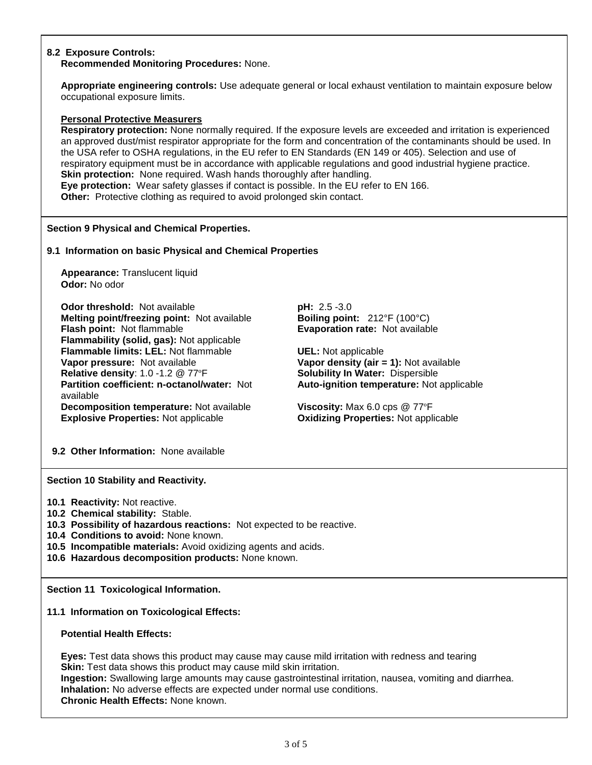# **8.2 Exposure Controls:**

**Recommended Monitoring Procedures:** None.

**Appropriate engineering controls:** Use adequate general or local exhaust ventilation to maintain exposure below occupational exposure limits.

## **Personal Protective Measurers**

**Respiratory protection:** None normally required. If the exposure levels are exceeded and irritation is experienced an approved dust/mist respirator appropriate for the form and concentration of the contaminants should be used. In the USA refer to OSHA regulations, in the EU refer to EN Standards (EN 149 or 405). Selection and use of respiratory equipment must be in accordance with applicable regulations and good industrial hygiene practice. **Skin protection:** None required. Wash hands thoroughly after handling. **Eye protection:** Wear safety glasses if contact is possible. In the EU refer to EN 166.

**Other:** Protective clothing as required to avoid prolonged skin contact.

### **Section 9 Physical and Chemical Properties.**

### **9.1 Information on basic Physical and Chemical Properties**

**Appearance:** Translucent liquid **Odor:** No odor

**Odor threshold:** Not available **pH:** 2.5 -3.0 **Melting point/freezing point:** Not available **Boiling point:** 212°F (100°C) **Flash point:** Not flammable **Evaporation rate:** Not available **Flammability (solid, gas):** Not applicable **Flammable limits: LEL:** Not flammable **UEL:** Not applicable **Vapor pressure:** Not available **Vapor density (air = 1):** Not available **Relative density:** 1.0 -1.2 @ 77°F **Solubility In Water:** Dispersible **Relative density: 1.0 -1.2 @ 77°F Partition coefficient: n-octanol/water:** Not available **Decomposition temperature:** Not available **Viscosity:** Max 6.0 cps @ 77ºF

**Explosive Properties:** Not applicable **Oxidizing Properties:** Not applicable

**Auto-ignition temperature:** Not applicable

**9.2 Other Information:** None available

**Section 10 Stability and Reactivity.**

- **10.1 Reactivity:** Not reactive.
- **10.2 Chemical stability:** Stable.
- **10.3 Possibility of hazardous reactions:** Not expected to be reactive.
- **10.4 Conditions to avoid:** None known.
- **10.5 Incompatible materials:** Avoid oxidizing agents and acids.
- **10.6 Hazardous decomposition products:** None known.

**Section 11 Toxicological Information.**

### **11.1 Information on Toxicological Effects:**

## **Potential Health Effects:**

**Eyes:** Test data shows this product may cause may cause mild irritation with redness and tearing **Skin:** Test data shows this product may cause mild skin irritation. **Ingestion:** Swallowing large amounts may cause gastrointestinal irritation, nausea, vomiting and diarrhea. **Inhalation:** No adverse effects are expected under normal use conditions. **Chronic Health Effects:** None known.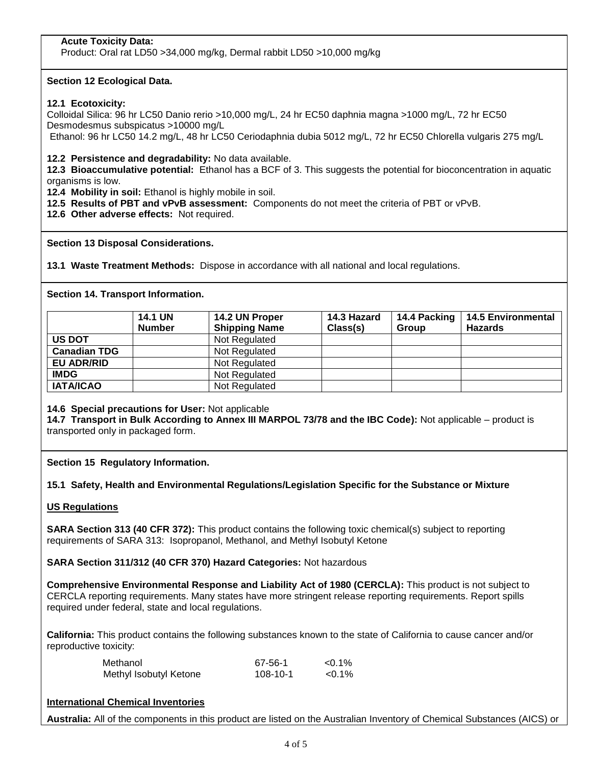# **Acute Toxicity Data:**

Product: Oral rat LD50 >34,000 mg/kg, Dermal rabbit LD50 >10,000 mg/kg

## **Section 12 Ecological Data.**

# **12.1 Ecotoxicity:**

Colloidal Silica: 96 hr LC50 Danio rerio >10,000 mg/L, 24 hr EC50 daphnia magna >1000 mg/L, 72 hr EC50 Desmodesmus subspicatus >10000 mg/L

Ethanol: 96 hr LC50 14.2 mg/L, 48 hr LC50 Ceriodaphnia dubia 5012 mg/L, 72 hr EC50 Chlorella vulgaris 275 mg/L

## **12.2 Persistence and degradability:** No data available.

**12.3 Bioaccumulative potential:** Ethanol has a BCF of 3. This suggests the potential for bioconcentration in aquatic organisms is low.

**12.4 Mobility in soil:** Ethanol is highly mobile in soil.

- **12.5 Results of PBT and vPvB assessment:** Components do not meet the criteria of PBT or vPvB.
- **12.6 Other adverse effects:** Not required.

**Section 13 Disposal Considerations.**

**13.1 Waste Treatment Methods:** Dispose in accordance with all national and local regulations.

**Section 14. Transport Information.**

|                     | <b>14.1 UN</b><br><b>Number</b> | 14.2 UN Proper<br><b>Shipping Name</b> | 14.3 Hazard<br>Class(s) | 14.4 Packing<br>Group | <b>14.5 Environmental</b><br><b>Hazards</b> |
|---------------------|---------------------------------|----------------------------------------|-------------------------|-----------------------|---------------------------------------------|
| <b>US DOT</b>       |                                 | Not Regulated                          |                         |                       |                                             |
| <b>Canadian TDG</b> |                                 | Not Regulated                          |                         |                       |                                             |
| EU ADR/RID          |                                 | Not Regulated                          |                         |                       |                                             |
| <b>IMDG</b>         |                                 | Not Regulated                          |                         |                       |                                             |
| <b>IATA/ICAO</b>    |                                 | Not Regulated                          |                         |                       |                                             |

## **14.6 Special precautions for User:** Not applicable

**14.7 Transport in Bulk According to Annex III MARPOL 73/78 and the IBC Code):** Not applicable – product is transported only in packaged form.

# **Section 15 Regulatory Information.**

# **15.1 Safety, Health and Environmental Regulations/Legislation Specific for the Substance or Mixture**

# **US Regulations**

**SARA Section 313 (40 CFR 372):** This product contains the following toxic chemical(s) subject to reporting requirements of SARA 313: Isopropanol, Methanol, and Methyl Isobutyl Ketone

**SARA Section 311/312 (40 CFR 370) Hazard Categories:** Not hazardous

**Comprehensive Environmental Response and Liability Act of 1980 (CERCLA):** This product is not subject to CERCLA reporting requirements. Many states have more stringent release reporting requirements. Report spills required under federal, state and local regulations.

**California:** This product contains the following substances known to the state of California to cause cancer and/or reproductive toxicity:

| Methanol               | 67-56-1  | $< 0.1\%$ |
|------------------------|----------|-----------|
| Methyl Isobutyl Ketone | 108-10-1 | $< 0.1\%$ |

### **International Chemical Inventories**

**Australia:** All of the components in this product are listed on the Australian Inventory of Chemical Substances (AICS) or